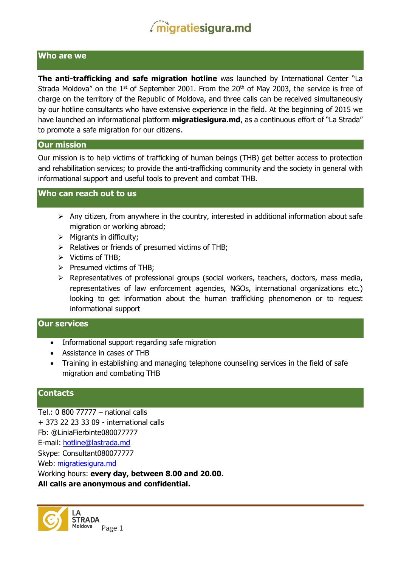#### **Who are we**

**The anti-trafficking and safe migration hotline** was launched by International Center "La Strada Moldova" on the  $1<sup>st</sup>$  of September 2001. From the  $20<sup>th</sup>$  of May 2003, the service is free of charge on the territory of the Republic of Moldova, and three calls can be received simultaneously by our hotline consultants who have extensive experience in the field. At the beginning of 2015 we have launched an informational platform **migratiesigura.md**, as a continuous effort of "La Strada" to promote a safe migration for our citizens.

#### **Our mission**

Our mission is to help victims of trafficking of human beings (THB) get better access to protection and rehabilitation services; to provide the anti-trafficking community and the society in general with informational support and useful tools to prevent and combat THB.

### **Who can reach out to us**

- $\triangleright$  Any citizen, from anywhere in the country, interested in additional information about safe migration or working abroad;
- $\triangleright$  Migrants in difficulty;
- $\triangleright$  Relatives or friends of presumed victims of THB;
- $\triangleright$  Victims of THB;
- $\triangleright$  Presumed victims of THB:
- Representatives of professional groups (social workers, teachers, doctors, mass media, representatives of law enforcement agencies, NGOs, international organizations etc.) looking to get information about the human trafficking phenomenon or to request informational support

### **Our services**

- Informational support regarding safe migration
- Assistance in cases of THB
- Training in establishing and managing telephone counseling services in the field of safe migration and combating THB

### **Contacts**

Tel.: 0 800 77777 – national calls + 373 22 23 33 09 - international calls Fb: @LiniaFierbinte080077777 E-mail: [hotline@lastrada.md](mailto:hotline@lastrada.md) Skype: Consultant080077777 Web: [migratiesigura.md](http://www.migratiesigura.md/) Working hours: **every day, between 8.00 and 20.00. All calls are anonymous and confidential.** 

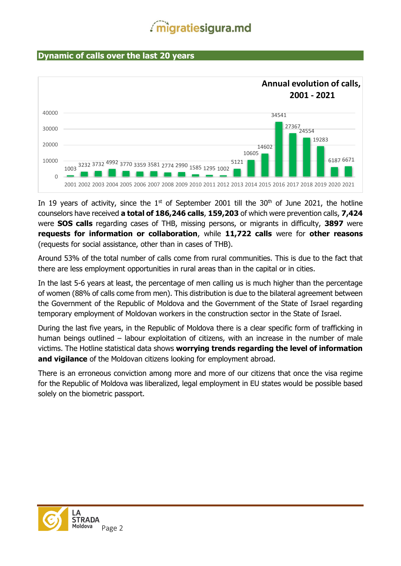### **Dynamic of calls over the last 20 years**



In 19 years of activity, since the  $1<sup>st</sup>$  of September 2001 till the 30<sup>th</sup> of June 2021, the hotline counselors have received **a total of 186,246 calls**, **159,203** of which were prevention calls, **7,424** were **SOS calls** regarding cases of THB, missing persons, or migrants in difficulty, **3897** were **requests for information or collaboration**, while **11,722 calls** were for **other reasons** (requests for social assistance, other than in cases of THB).

Around 53% of the total number of calls come from rural communities. This is due to the fact that there are less employment opportunities in rural areas than in the capital or in cities.

In the last 5-6 years at least, the percentage of men calling us is much higher than the percentage of women (88% of calls come from men). This distribution is due to the bilateral agreement between the Government of the Republic of Moldova and the Government of the State of Israel regarding temporary employment of Moldovan workers in the construction sector in the State of Israel.

During the last five years, in the Republic of Moldova there is a clear specific form of trafficking in human beings outlined – labour exploitation of citizens, with an increase in the number of male victims. The Hotline statistical data shows **worrying trends regarding the level of information and vigilance** of the Moldovan citizens looking for employment abroad.

There is an erroneous conviction among more and more of our citizens that once the visa regime for the Republic of Moldova was liberalized, legal employment in EU states would be possible based solely on the biometric passport.

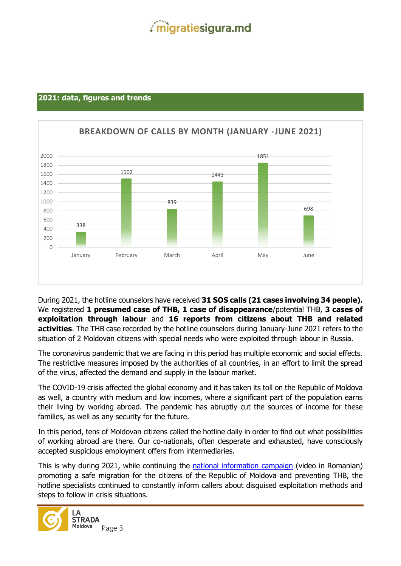### **2021: data, figures and trends**



During 2021, the hotline counselors have received **31 SOS calls (21 cases involving 34 people).**  We registered **1 presumed case of THB, 1 case of disappearance**/potential THB, **3 cases of exploitation through labour** and **16 reports from citizens about THB and related activities**. The THB case recorded by the hotline counselors during January-June 2021 refers to the situation of 2 Moldovan citizens with special needs who were exploited through labour in Russia.

The coronavirus pandemic that we are facing in this period has multiple economic and social effects. The restrictive measures imposed by the authorities of all countries, in an effort to limit the spread of the virus, affected the demand and supply in the labour market.

The COVID-19 crisis affected the global economy and it has taken its toll on the Republic of Moldova as well, a country with medium and low incomes, where a significant part of the population earns their living by working abroad. The pandemic has abruptly cut the sources of income for these families, as well as any security for the future.

In this period, tens of Moldovan citizens called the hotline daily in order to find out what possibilities of working abroad are there. Our co-nationals, often desperate and exhausted, have consciously accepted suspicious employment offers from intermediaries.

This is why during 2021, while continuing the **national information campaign** (video in Romanian) promoting a safe migration for the citizens of the Republic of Moldova and preventing THB, the hotline specialists continued to constantly inform callers about disguised exploitation methods and steps to follow in crisis situations.

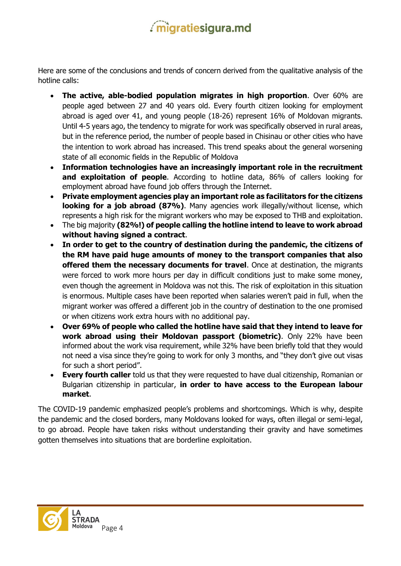Here are some of the conclusions and trends of concern derived from the qualitative analysis of the hotline calls:

- **The active, able-bodied population migrates in high proportion**. Over 60% are people aged between 27 and 40 years old. Every fourth citizen looking for employment abroad is aged over 41, and young people (18-26) represent 16% of Moldovan migrants. Until 4-5 years ago, the tendency to migrate for work was specifically observed in rural areas, but in the reference period, the number of people based in Chisinau or other cities who have the intention to work abroad has increased. This trend speaks about the general worsening state of all economic fields in the Republic of Moldova
- **Information technologies have an increasingly important role in the recruitment and exploitation of people**. According to hotline data, 86% of callers looking for employment abroad have found job offers through the Internet.
- **Private employment agencies play an important role as facilitators for the citizens looking for a job abroad (87%)**. Many agencies work illegally/without license, which represents a high risk for the migrant workers who may be exposed to THB and exploitation.
- The big majority **(82%!) of people calling the hotline intend to leave to work abroad without having signed a contract**.
- **In order to get to the country of destination during the pandemic, the citizens of the RM have paid huge amounts of money to the transport companies that also offered them the necessary documents for travel**. Once at destination, the migrants were forced to work more hours per day in difficult conditions just to make some money, even though the agreement in Moldova was not this. The risk of exploitation in this situation is enormous. Multiple cases have been reported when salaries weren't paid in full, when the migrant worker was offered a different job in the country of destination to the one promised or when citizens work extra hours with no additional pay.
- **Over 69% of people who called the hotline have said that they intend to leave for work abroad using their Moldovan passport (biometric)**. Only 22% have been informed about the work visa requirement, while 32% have been briefly told that they would not need a visa since they're going to work for only 3 months, and "they don't give out visas for such a short period".
- **Every fourth caller** told us that they were requested to have dual citizenship, Romanian or Bulgarian citizenship in particular, **in order to have access to the European labour market**.

The COVID-19 pandemic emphasized people's problems and shortcomings. Which is why, despite the pandemic and the closed borders, many Moldovans looked for ways, often illegal or semi-legal, to go abroad. People have taken risks without understanding their gravity and have sometimes gotten themselves into situations that are borderline exploitation.